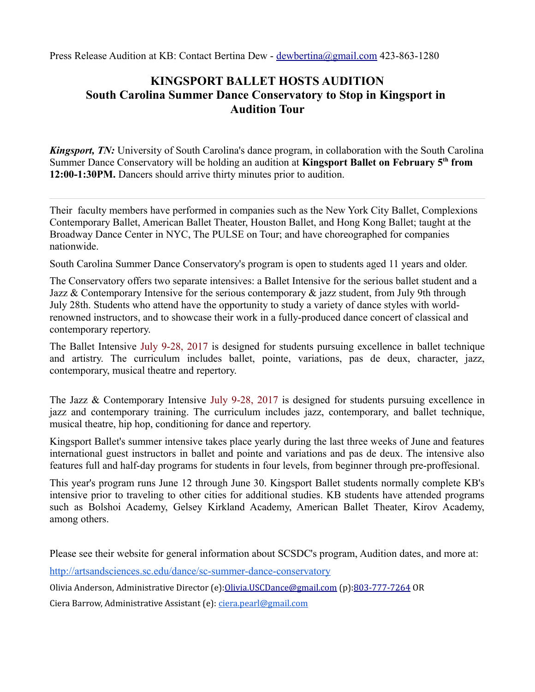Press Release Audition at KB: Contact Bertina Dew - [dewbertina@gmail.com](mailto:dewbertina@gmail.com) 423-863-1280

## **KINGSPORT BALLET HOSTS AUDITION South Carolina Summer Dance Conservatory to Stop in Kingsport in Audition Tour**

*Kingsport, TN:* University of South Carolina's dance program, in collaboration with the South Carolina Summer Dance Conservatory will be holding an audition at **Kingsport Ballet on February 5th from 12:00-1:30PM.** Dancers should arrive thirty minutes prior to audition.

Their faculty members have performed in companies such as the New York City Ballet, Complexions Contemporary Ballet, American Ballet Theater, Houston Ballet, and Hong Kong Ballet; taught at the Broadway Dance Center in NYC, The PULSE on Tour; and have choreographed for companies nationwide.

South Carolina Summer Dance Conservatory's program is open to students aged 11 years and older.

The Conservatory offers two separate intensives: a Ballet Intensive for the serious ballet student and a Jazz  $\&$  Contemporary Intensive for the serious contemporary  $\&$  jazz student, from July 9th through July 28th. Students who attend have the opportunity to study a variety of dance styles with worldrenowned instructors, and to showcase their work in a fully-produced dance concert of classical and contemporary repertory.

The Ballet Intensive July 9-28, 2017 is designed for students pursuing excellence in ballet technique and artistry. The curriculum includes ballet, pointe, variations, pas de deux, character, jazz, contemporary, musical theatre and repertory.

The Jazz & Contemporary Intensive July 9-28, 2017 is designed for students pursuing excellence in jazz and contemporary training. The curriculum includes jazz, contemporary, and ballet technique, musical theatre, hip hop, conditioning for dance and repertory.

Kingsport Ballet's summer intensive takes place yearly during the last three weeks of June and features international guest instructors in ballet and pointe and variations and pas de deux. The intensive also features full and half-day programs for students in four levels, from beginner through pre-proffesional.

This year's program runs June 12 through June 30. Kingsport Ballet students normally complete KB's intensive prior to traveling to other cities for additional studies. KB students have attended programs such as Bolshoi Academy, Gelsey Kirkland Academy, American Ballet Theater, Kirov Academy, among others.

Please see their website for general information about SCSDC's program, Audition dates, and more at:

<http://artsandsciences.sc.edu/dance/sc-summer-dance-conservatory>

Olivia Anderson, Administrative Director (e)[:Olivia.USCDance@gmail.com](mailto:Olivia.USCDance@gmail.com) (p)[:803-777-7264](tel:(803)%20777-7264) OR

Ciera Barrow, Administrative Assistant (e): [ciera.pearl@gmail.com](mailto:ciera.pearl@gmail.com)